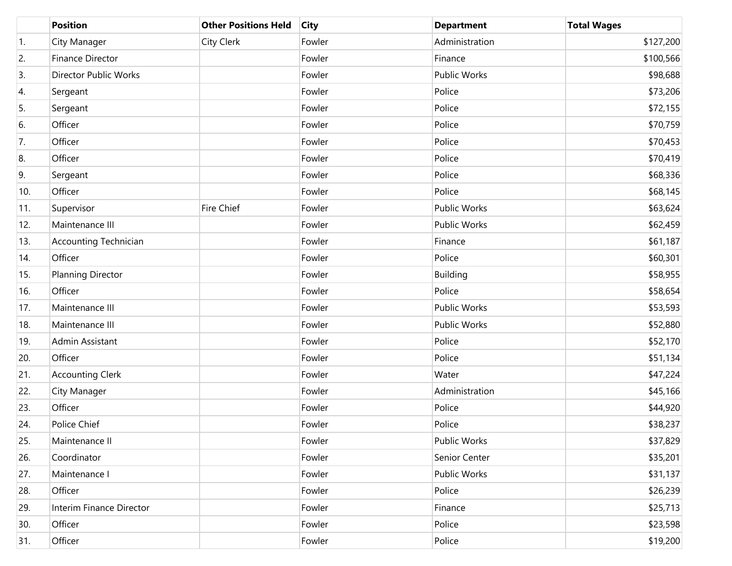|                  | <b>Position</b>              | <b>Other Positions Held</b> | <b>City</b> | <b>Department</b>   | <b>Total Wages</b> |
|------------------|------------------------------|-----------------------------|-------------|---------------------|--------------------|
| $\overline{1}$ . | City Manager                 | City Clerk                  | Fowler      | Administration      | \$127,200          |
| 2.               | <b>Finance Director</b>      |                             | Fowler      | Finance             | \$100,566          |
| 3.               | Director Public Works        |                             | Fowler      | <b>Public Works</b> | \$98,688           |
| 4.               | Sergeant                     |                             | Fowler      | Police              | \$73,206           |
| 5.               | Sergeant                     |                             | Fowler      | Police              | \$72,155           |
| 6.               | Officer                      |                             | Fowler      | Police              | \$70,759           |
| 7.               | Officer                      |                             | Fowler      | Police              | \$70,453           |
| 8.               | Officer                      |                             | Fowler      | Police              | \$70,419           |
| 9.               | Sergeant                     |                             | Fowler      | Police              | \$68,336           |
| 10.              | Officer                      |                             | Fowler      | Police              | \$68,145           |
| 11.              | Supervisor                   | Fire Chief                  | Fowler      | <b>Public Works</b> | \$63,624           |
| 12.              | Maintenance III              |                             | Fowler      | <b>Public Works</b> | \$62,459           |
| 13.              | <b>Accounting Technician</b> |                             | Fowler      | Finance             | \$61,187           |
| 14.              | Officer                      |                             | Fowler      | Police              | \$60,301           |
| 15.              | Planning Director            |                             | Fowler      | <b>Building</b>     | \$58,955           |
| 16.              | Officer                      |                             | Fowler      | Police              | \$58,654           |
| 17.              | Maintenance III              |                             | Fowler      | <b>Public Works</b> | \$53,593           |
| 18.              | Maintenance III              |                             | Fowler      | <b>Public Works</b> | \$52,880           |
| 19.              | Admin Assistant              |                             | Fowler      | Police              | \$52,170           |
| 20.              | Officer                      |                             | Fowler      | Police              | \$51,134           |
| 21.              | <b>Accounting Clerk</b>      |                             | Fowler      | Water               | \$47,224           |
| 22.              | City Manager                 |                             | Fowler      | Administration      | \$45,166           |
| 23.              | Officer                      |                             | Fowler      | Police              | \$44,920           |
| 24.              | Police Chief                 |                             | Fowler      | Police              | \$38,237           |
| 25.              | Maintenance II               |                             | Fowler      | Public Works        | \$37,829           |
| 26.              | Coordinator                  |                             | Fowler      | Senior Center       | \$35,201           |
| 27.              | Maintenance I                |                             | Fowler      | Public Works        | \$31,137           |
| 28.              | Officer                      |                             | Fowler      | Police              | \$26,239           |
| 29.              | Interim Finance Director     |                             | Fowler      | Finance             | \$25,713           |
| 30.              | Officer                      |                             | Fowler      | Police              | \$23,598           |
| 31.              | Officer                      |                             | Fowler      | Police              | \$19,200           |